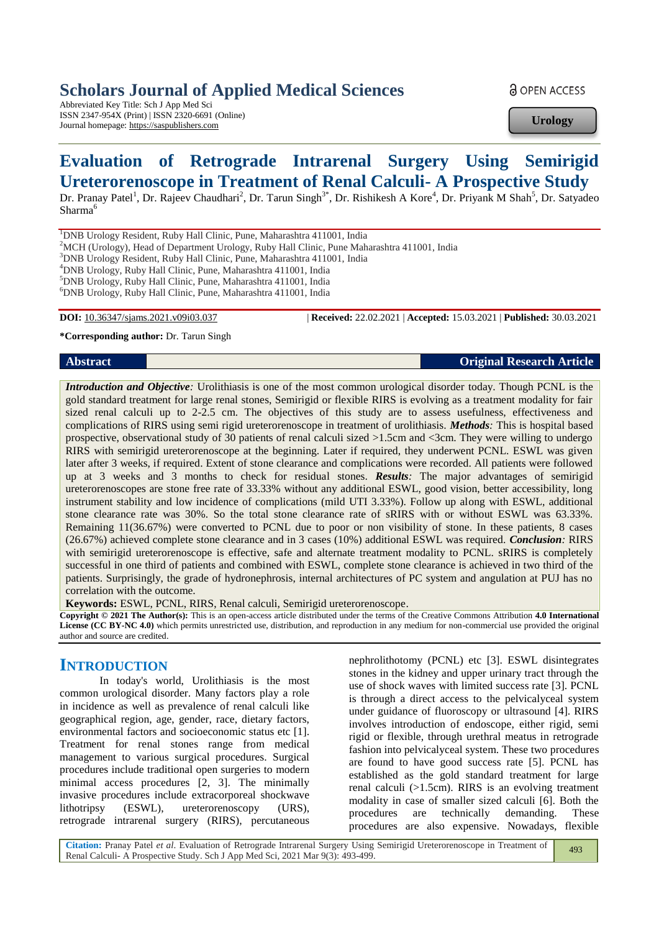## **Scholars Journal of Applied Medical Sciences**

Abbreviated Key Title: Sch J App Med Sci ISSN 2347-954X (Print) | ISSN 2320-6691 (Online) Journal homepage: https://saspublishers.com

**a** OPEN ACCESS

**Urology**

# **Evaluation of Retrograde Intrarenal Surgery Using Semirigid Ureterorenoscope in Treatment of Renal Calculi- A Prospective Study**

Dr. Pranay Patel<sup>1</sup>, Dr. Rajeev Chaudhari<sup>2</sup>, Dr. Tarun Singh<sup>3\*</sup>, Dr. Rishikesh A Kore<sup>4</sup>, Dr. Priyank M Shah<sup>5</sup>, Dr. Satyadeo Sharma<sup>6</sup>

<sup>1</sup>DNB Urology Resident, Ruby Hall Clinic, Pune, Maharashtra 411001, India

<sup>2</sup>MCH (Urology), Head of Department Urology, Ruby Hall Clinic, Pune Maharashtra 411001, India

<sup>3</sup>DNB Urology Resident, Ruby Hall Clinic, Pune, Maharashtra 411001, India

<sup>4</sup>DNB Urology, Ruby Hall Clinic, Pune, Maharashtra 411001, India

<sup>5</sup>DNB Urology, Ruby Hall Clinic, Pune, Maharashtra 411001, India

<sup>6</sup>DNB Urology, Ruby Hall Clinic, Pune, Maharashtra 411001, India

**DOI:** 10.36347/sjams.2021.v09i03.037 | **Received:** 22.02.2021 | **Accepted:** 15.03.2021 | **Published:** 30.03.2021

**\*Corresponding author:** Dr. Tarun Singh

**Abstract Original Research Article**

*Introduction and Objective:* Urolithiasis is one of the most common urological disorder today. Though PCNL is the gold standard treatment for large renal stones, Semirigid or flexible RIRS is evolving as a treatment modality for fair sized renal calculi up to 2-2.5 cm. The objectives of this study are to assess usefulness, effectiveness and complications of RIRS using semi rigid ureterorenoscope in treatment of urolithiasis. *Methods:* This is hospital based prospective, observational study of 30 patients of renal calculi sized >1.5cm and <3cm. They were willing to undergo RIRS with semirigid ureterorenoscope at the beginning. Later if required, they underwent PCNL. ESWL was given later after 3 weeks, if required. Extent of stone clearance and complications were recorded. All patients were followed up at 3 weeks and 3 months to check for residual stones. *Results:* The major advantages of semirigid ureterorenoscopes are stone free rate of 33.33% without any additional ESWL, good vision, better accessibility, long instrument stability and low incidence of complications (mild UTI 3.33%). Follow up along with ESWL, additional stone clearance rate was 30%. So the total stone clearance rate of sRIRS with or without ESWL was 63.33%. Remaining 11(36.67%) were converted to PCNL due to poor or non visibility of stone. In these patients, 8 cases (26.67%) achieved complete stone clearance and in 3 cases (10%) additional ESWL was required. *Conclusion:* RIRS with semirigid ureterorenoscope is effective, safe and alternate treatment modality to PCNL. sRIRS is completely successful in one third of patients and combined with ESWL, complete stone clearance is achieved in two third of the patients. Surprisingly, the grade of hydronephrosis, internal architectures of PC system and angulation at PUJ has no correlation with the outcome.

**Keywords:** ESWL, PCNL, RIRS, Renal calculi, Semirigid ureterorenoscope.

**Copyright © 2021 The Author(s):** This is an open-access article distributed under the terms of the Creative Commons Attribution **4.0 International License (CC BY-NC 4.0)** which permits unrestricted use, distribution, and reproduction in any medium for non-commercial use provided the original author and source are credited.

## **INTRODUCTION**

In today's world, Urolithiasis is the most common urological disorder. Many factors play a role in incidence as well as prevalence of renal calculi like geographical region, age, gender, race, dietary factors, environmental factors and socioeconomic status etc [1]. Treatment for renal stones range from medical management to various surgical procedures. Surgical procedures include traditional open surgeries to modern minimal access procedures [2, 3]. The minimally invasive procedures include extracorporeal shockwave lithotripsy (ESWL), ureterorenoscopy (URS), retrograde intrarenal surgery (RIRS), percutaneous

nephrolithotomy (PCNL) etc [3]. ESWL disintegrates stones in the kidney and upper urinary tract through the use of shock waves with limited success rate [3]. PCNL is through a direct access to the pelvicalyceal system under guidance of fluoroscopy or ultrasound [4]. RIRS involves introduction of endoscope, either rigid, semi rigid or flexible, through urethral meatus in retrograde fashion into pelvicalyceal system. These two procedures are found to have good success rate [5]. PCNL has established as the gold standard treatment for large renal calculi (>1.5cm). RIRS is an evolving treatment modality in case of smaller sized calculi [6]. Both the procedures are technically demanding. These procedures are also expensive. Nowadays, flexible

**Citation:** Pranay Patel *et al*. Evaluation of Retrograde Intrarenal Surgery Using Semirigid Ureterorenoscope in Treatment of Renal Calculi- A Prospective Study. Sch J App Med Sci, 2021 Mar 9(3): 493-499. 493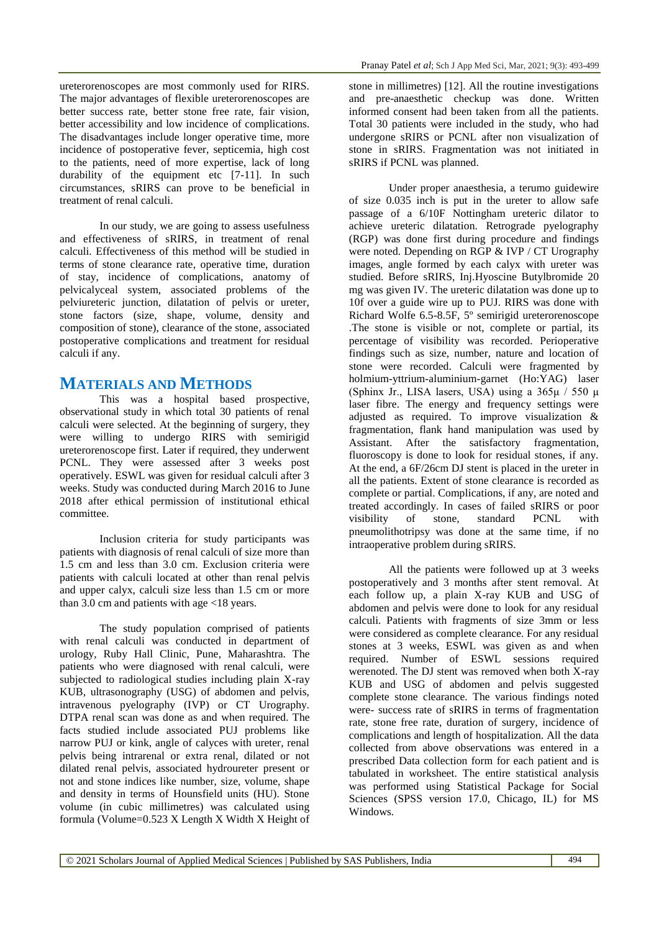ureterorenoscopes are most commonly used for RIRS. The major advantages of flexible ureterorenoscopes are better success rate, better stone free rate, fair vision, better accessibility and low incidence of complications. The disadvantages include longer operative time, more incidence of postoperative fever, septicemia, high cost to the patients, need of more expertise, lack of long durability of the equipment etc [7-11]. In such circumstances, sRIRS can prove to be beneficial in treatment of renal calculi.

In our study, we are going to assess usefulness and effectiveness of sRIRS, in treatment of renal calculi. Effectiveness of this method will be studied in terms of stone clearance rate, operative time, duration of stay, incidence of complications, anatomy of pelvicalyceal system, associated problems of the pelviureteric junction, dilatation of pelvis or ureter, stone factors (size, shape, volume, density and composition of stone), clearance of the stone, associated postoperative complications and treatment for residual calculi if any.

## **MATERIALS AND METHODS**

This was a hospital based prospective, observational study in which total 30 patients of renal calculi were selected. At the beginning of surgery, they were willing to undergo RIRS with semirigid ureterorenoscope first. Later if required, they underwent PCNL. They were assessed after 3 weeks post operatively. ESWL was given for residual calculi after 3 weeks. Study was conducted during March 2016 to June 2018 after ethical permission of institutional ethical committee.

Inclusion criteria for study participants was patients with diagnosis of renal calculi of size more than 1.5 cm and less than 3.0 cm. Exclusion criteria were patients with calculi located at other than renal pelvis and upper calyx, calculi size less than 1.5 cm or more than 3.0 cm and patients with age <18 years.

The study population comprised of patients with renal calculi was conducted in department of urology, Ruby Hall Clinic, Pune, Maharashtra. The patients who were diagnosed with renal calculi, were subjected to radiological studies including plain X-ray KUB, ultrasonography (USG) of abdomen and pelvis, intravenous pyelography (IVP) or CT Urography. DTPA renal scan was done as and when required. The facts studied include associated PUJ problems like narrow PUJ or kink, angle of calyces with ureter, renal pelvis being intrarenal or extra renal, dilated or not dilated renal pelvis, associated hydroureter present or not and stone indices like number, size, volume, shape and density in terms of Hounsfield units (HU). Stone volume (in cubic millimetres) was calculated using formula (Volume=0.523 X Length X Width X Height of

stone in millimetres) [12]. All the routine investigations and pre-anaesthetic checkup was done. Written informed consent had been taken from all the patients. Total 30 patients were included in the study, who had undergone sRIRS or PCNL after non visualization of stone in sRIRS. Fragmentation was not initiated in sRIRS if PCNL was planned.

Under proper anaesthesia, a terumo guidewire of size 0.035 inch is put in the ureter to allow safe passage of a 6/10F Nottingham ureteric dilator to achieve ureteric dilatation. Retrograde pyelography (RGP) was done first during procedure and findings were noted. Depending on RGP & IVP / CT Urography images, angle formed by each calyx with ureter was studied. Before sRIRS, Inj.Hyoscine Butylbromide 20 mg was given IV. The ureteric dilatation was done up to 10f over a guide wire up to PUJ. RIRS was done with Richard Wolfe 6.5-8.5F, 5º semirigid ureterorenoscope .The stone is visible or not, complete or partial, its percentage of visibility was recorded. Perioperative findings such as size, number, nature and location of stone were recorded. Calculi were fragmented by holmium-yttrium-aluminium-garnet (Ho:YAG) laser (Sphinx Jr., LISA lasers, USA) using a  $365\mu / 550 \mu$ laser fibre. The energy and frequency settings were adjusted as required. To improve visualization & fragmentation, flank hand manipulation was used by Assistant. After the satisfactory fragmentation, fluoroscopy is done to look for residual stones, if any. At the end, a 6F/26cm DJ stent is placed in the ureter in all the patients. Extent of stone clearance is recorded as complete or partial. Complications, if any, are noted and treated accordingly. In cases of failed sRIRS or poor visibility of stone, standard PCNL with pneumolithotripsy was done at the same time, if no intraoperative problem during sRIRS.

All the patients were followed up at 3 weeks postoperatively and 3 months after stent removal. At each follow up, a plain X-ray KUB and USG of abdomen and pelvis were done to look for any residual calculi. Patients with fragments of size 3mm or less were considered as complete clearance. For any residual stones at 3 weeks, ESWL was given as and when required. Number of ESWL sessions required werenoted. The DJ stent was removed when both X-ray KUB and USG of abdomen and pelvis suggested complete stone clearance. The various findings noted were- success rate of sRIRS in terms of fragmentation rate, stone free rate, duration of surgery, incidence of complications and length of hospitalization. All the data collected from above observations was entered in a prescribed Data collection form for each patient and is tabulated in worksheet. The entire statistical analysis was performed using Statistical Package for Social Sciences (SPSS version 17.0, Chicago, IL) for MS Windows.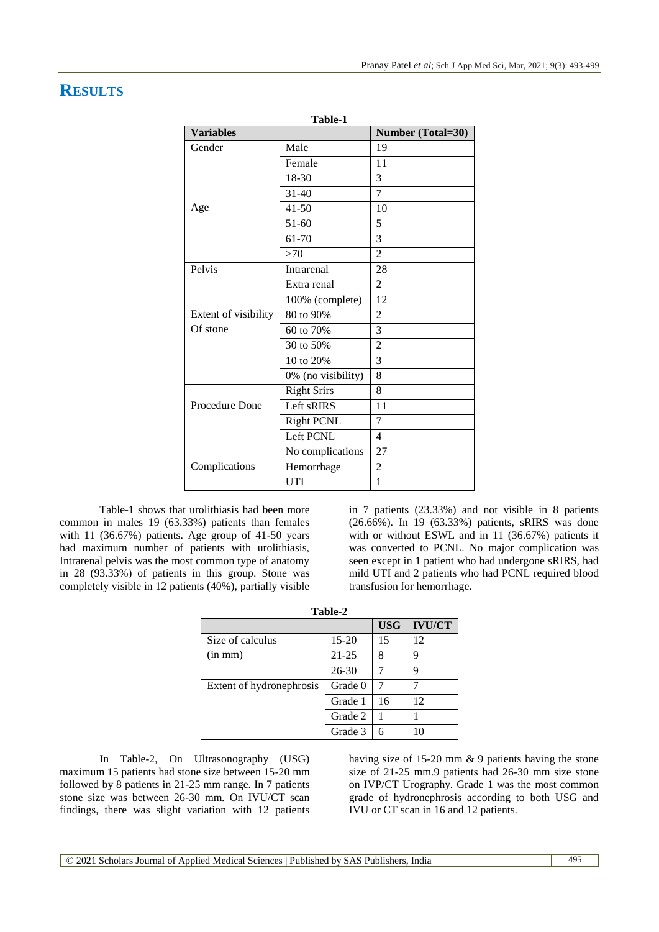## **RESULTS**

| Table-1              |                    |                          |  |
|----------------------|--------------------|--------------------------|--|
| <b>Variables</b>     |                    | <b>Number (Total=30)</b> |  |
| Gender               | Male               | 19                       |  |
|                      | Female             | 11                       |  |
|                      | 18-30              | 3                        |  |
|                      | $31 - 40$          | $\overline{7}$           |  |
| Age                  | $41 - 50$          | 10                       |  |
|                      | $51 - 60$          | 5                        |  |
|                      | 61-70              | 3                        |  |
|                      | >70                | $\overline{2}$           |  |
| Pelvis               | Intrarenal         | 28                       |  |
|                      | Extra renal        | $\overline{2}$           |  |
|                      | 100% (complete)    | 12                       |  |
| Extent of visibility | 80 to 90%          | $\overline{2}$           |  |
| Of stone             | 60 to 70%          | 3                        |  |
|                      | 30 to 50%          | $\overline{2}$           |  |
|                      | 10 to 20%          | 3                        |  |
|                      | 0% (no visibility) | 8                        |  |
|                      | <b>Right Srirs</b> | 8                        |  |
| Procedure Done       | Left sRIRS         | 11                       |  |
|                      | <b>Right PCNL</b>  | 7                        |  |
|                      | Left PCNL          | $\overline{4}$           |  |
|                      | No complications   | 27                       |  |
| Complications        | Hemorrhage         | $\overline{2}$           |  |
|                      | <b>UTI</b>         | $\mathbf{1}$             |  |

Table-1 shows that urolithiasis had been more common in males 19 (63.33%) patients than females with 11 (36.67%) patients. Age group of 41-50 years had maximum number of patients with urolithiasis, Intrarenal pelvis was the most common type of anatomy in 28 (93.33%) of patients in this group. Stone was completely visible in 12 patients (40%), partially visible

in 7 patients (23.33%) and not visible in 8 patients (26.66%). In 19 (63.33%) patients, sRIRS was done with or without ESWL and in 11 (36.67%) patients it was converted to PCNL. No major complication was seen except in 1 patient who had undergone sRIRS, had mild UTI and 2 patients who had PCNL required blood transfusion for hemorrhage.

| Table-2                  |           |            |               |
|--------------------------|-----------|------------|---------------|
|                          |           | <b>USG</b> | <b>IVU/CT</b> |
| Size of calculus         | 15-20     | 15         | 12            |
| $(in \, mm)$             | $21 - 25$ | 8          | 9             |
|                          | $26 - 30$ |            | 9             |
| Extent of hydronephrosis | Grade 0   | 7          |               |
|                          | Grade 1   | 16         | 12            |
|                          | Grade 2   |            |               |
|                          | Grade 3   | 6          |               |

In Table-2, On Ultrasonography (USG) maximum 15 patients had stone size between 15-20 mm followed by 8 patients in 21-25 mm range. In 7 patients stone size was between 26-30 mm. On IVU/CT scan findings, there was slight variation with 12 patients

having size of 15-20 mm & 9 patients having the stone size of 21-25 mm.9 patients had 26-30 mm size stone on IVP/CT Urography. Grade 1 was the most common grade of hydronephrosis according to both USG and IVU or CT scan in 16 and 12 patients.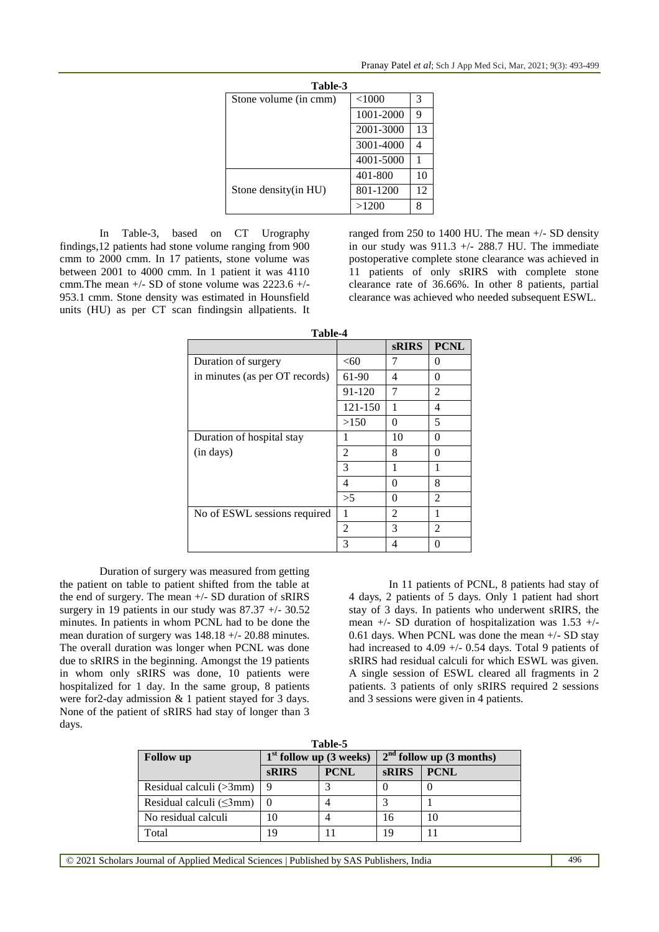| Table-3               |           |    |  |  |
|-----------------------|-----------|----|--|--|
| Stone volume (in cmm) | <1000     | 3  |  |  |
|                       | 1001-2000 | 9  |  |  |
|                       | 2001-3000 | 13 |  |  |
|                       | 3001-4000 |    |  |  |
|                       | 4001-5000 |    |  |  |
|                       | 401-800   | 10 |  |  |
| Stone density (in HU) | 801-1200  | 12 |  |  |
|                       | >1200     |    |  |  |

In Table-3, based on CT Urography findings,12 patients had stone volume ranging from 900 cmm to 2000 cmm. In 17 patients, stone volume was between 2001 to 4000 cmm. In 1 patient it was 4110 cmm.The mean +/- SD of stone volume was 2223.6 +/- 953.1 cmm. Stone density was estimated in Hounsfield units (HU) as per CT scan findingsin allpatients. It

ranged from 250 to 1400 HU. The mean +/- SD density in our study was  $911.3$  +/- 288.7 HU. The immediate postoperative complete stone clearance was achieved in 11 patients of only sRIRS with complete stone clearance rate of 36.66%. In other 8 patients, partial clearance was achieved who needed subsequent ESWL.

| 1 апіс-4                       |                |                |                |
|--------------------------------|----------------|----------------|----------------|
|                                |                | <b>sRIRS</b>   | <b>PCNL</b>    |
| Duration of surgery            | < 60           | 7              | $\theta$       |
| in minutes (as per OT records) | 61-90          | 4              | 0              |
|                                | 91-120         | 7              | $\overline{2}$ |
|                                | 121-150        | 1              | 4              |
|                                | >150           | 0              | 5              |
| Duration of hospital stay      |                | 10             | 0              |
| (in days)                      | $\mathfrak{D}$ | 8              | 0              |
|                                | 3              | 1              | 1              |
|                                | 4              | 0              | 8              |
|                                | >5             | $\Omega$       | $\mathfrak{D}$ |
| No of ESWL sessions required   | 1              | $\overline{2}$ | 1              |
|                                | $\mathfrak{D}$ | 3              | $\mathfrak{D}$ |
|                                | 3              | 4              | 0              |

**Table-4**

Duration of surgery was measured from getting the patient on table to patient shifted from the table at the end of surgery. The mean +/- SD duration of sRIRS surgery in 19 patients in our study was 87.37 +/- 30.52 minutes. In patients in whom PCNL had to be done the mean duration of surgery was 148.18 +/- 20.88 minutes. The overall duration was longer when PCNL was done due to sRIRS in the beginning. Amongst the 19 patients in whom only sRIRS was done, 10 patients were hospitalized for 1 day. In the same group, 8 patients were for2-day admission & 1 patient stayed for 3 days. None of the patient of sRIRS had stay of longer than 3 days.

In 11 patients of PCNL, 8 patients had stay of 4 days, 2 patients of 5 days. Only 1 patient had short stay of 3 days. In patients who underwent sRIRS, the mean +/- SD duration of hospitalization was 1.53 +/- 0.61 days. When PCNL was done the mean +/- SD stay had increased to 4.09 +/- 0.54 days. Total 9 patients of sRIRS had residual calculi for which ESWL was given. A single session of ESWL cleared all fragments in 2 patients. 3 patients of only sRIRS required 2 sessions and 3 sessions were given in 4 patients.

| Table-5                        |                           |             |                            |             |
|--------------------------------|---------------------------|-------------|----------------------------|-------------|
| <b>Follow</b> up               | $1st$ follow up (3 weeks) |             | $2nd$ follow up (3 months) |             |
|                                | <b>sRIRS</b>              | <b>PCNL</b> | <b>sRIRS</b>               | <b>PCNL</b> |
| Residual calculi (>3mm)        | 9                         |             |                            |             |
| Residual calculi $(\leq 3$ mm) |                           |             |                            |             |
| No residual calculi            | 10                        |             | 16                         | 10          |
| Total                          | 19                        |             | 19                         |             |

© 2021 Scholars Journal of Applied Medical Sciences | Published by SAS Publishers, India 496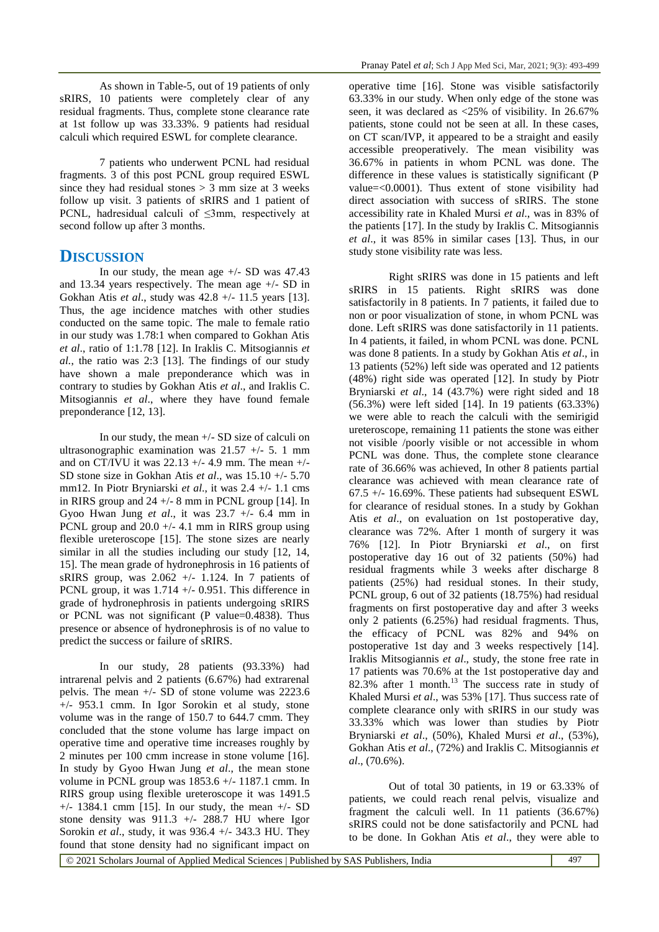As shown in Table-5, out of 19 patients of only sRIRS, 10 patients were completely clear of any residual fragments. Thus, complete stone clearance rate at 1st follow up was 33.33%. 9 patients had residual calculi which required ESWL for complete clearance.

7 patients who underwent PCNL had residual fragments. 3 of this post PCNL group required ESWL since they had residual stones  $> 3$  mm size at 3 weeks follow up visit. 3 patients of sRIRS and 1 patient of PCNL, hadresidual calculi of ≤3mm, respectively at second follow up after 3 months.

## **DISCUSSION**

In our study, the mean age  $+/-$  SD was 47.43 and 13.34 years respectively. The mean age +/- SD in Gokhan Atis *et al*., study was 42.8 +/- 11.5 years [13]. Thus, the age incidence matches with other studies conducted on the same topic. The male to female ratio in our study was 1.78:1 when compared to Gokhan Atis *et al*., ratio of 1:1.78 [12]. In Iraklis C. Mitsogiannis *et al.*, the ratio was 2:3 [13]. The findings of our study have shown a male preponderance which was in contrary to studies by Gokhan Atis *et al*., and Iraklis C. Mitsogiannis *et al*., where they have found female preponderance [12, 13].

In our study, the mean +/- SD size of calculi on ultrasonographic examination was  $21.57$  +/- 5. 1 mm and on CT/IVU it was  $22.13 +/- 4.9$  mm. The mean  $+/-$ SD stone size in Gokhan Atis *et al*., was 15.10 +/- 5.70 mm12. In Piotr Bryniarski *et al*., it was 2.4 +/- 1.1 cms in RIRS group and 24 +/- 8 mm in PCNL group [14]. In Gyoo Hwan Jung *et al*., it was 23.7 +/- 6.4 mm in PCNL group and  $20.0 +/- 4.1$  mm in RIRS group using flexible ureteroscope [15]. The stone sizes are nearly similar in all the studies including our study [12, 14, 15]. The mean grade of hydronephrosis in 16 patients of sRIRS group, was  $2.062$  +/- 1.124. In 7 patients of PCNL group, it was 1.714 +/- 0.951. This difference in grade of hydronephrosis in patients undergoing sRIRS or PCNL was not significant (P value=0.4838). Thus presence or absence of hydronephrosis is of no value to predict the success or failure of sRIRS.

In our study, 28 patients (93.33%) had intrarenal pelvis and 2 patients (6.67%) had extrarenal pelvis. The mean +/- SD of stone volume was 2223.6 +/- 953.1 cmm. In Igor Sorokin et al study, stone volume was in the range of 150.7 to 644.7 cmm. They concluded that the stone volume has large impact on operative time and operative time increases roughly by 2 minutes per 100 cmm increase in stone volume [16]. In study by Gyoo Hwan Jung *et al*., the mean stone volume in PCNL group was 1853.6 +/- 1187.1 cmm. In RIRS group using flexible ureteroscope it was 1491.5 +/- 1384.1 cmm [15]. In our study, the mean +/- SD stone density was 911.3 +/- 288.7 HU where Igor Sorokin *et al*., study, it was 936.4 +/- 343.3 HU. They found that stone density had no significant impact on

operative time [16]. Stone was visible satisfactorily 63.33% in our study. When only edge of the stone was seen, it was declared as <25% of visibility. In 26.67% patients, stone could not be seen at all. In these cases, on CT scan/IVP, it appeared to be a straight and easily accessible preoperatively. The mean visibility was 36.67% in patients in whom PCNL was done. The difference in these values is statistically significant (P value=<0.0001). Thus extent of stone visibility had direct association with success of sRIRS. The stone accessibility rate in Khaled Mursi *et al*., was in 83% of the patients [17]. In the study by Iraklis C. Mitsogiannis *et al*., it was 85% in similar cases [13]. Thus, in our study stone visibility rate was less.

Right sRIRS was done in 15 patients and left sRIRS in 15 patients. Right sRIRS was done satisfactorily in 8 patients. In 7 patients, it failed due to non or poor visualization of stone, in whom PCNL was done. Left sRIRS was done satisfactorily in 11 patients. In 4 patients, it failed, in whom PCNL was done. PCNL was done 8 patients. In a study by Gokhan Atis *et al*., in 13 patients (52%) left side was operated and 12 patients (48%) right side was operated [12]. In study by Piotr Bryniarski *et al*., 14 (43.7%) were right sided and 18 (56.3%) were left sided [14]. In 19 patients (63.33%) we were able to reach the calculi with the semirigid ureteroscope, remaining 11 patients the stone was either not visible /poorly visible or not accessible in whom PCNL was done. Thus, the complete stone clearance rate of 36.66% was achieved, In other 8 patients partial clearance was achieved with mean clearance rate of  $67.5$  +/- 16.69%. These patients had subsequent ESWL for clearance of residual stones. In a study by Gokhan Atis *et al*., on evaluation on 1st postoperative day, clearance was 72%. After 1 month of surgery it was 76% [12]. In Piotr Bryniarski *et al*., on first postoperative day 16 out of 32 patients (50%) had residual fragments while 3 weeks after discharge 8 patients (25%) had residual stones. In their study, PCNL group, 6 out of 32 patients (18.75%) had residual fragments on first postoperative day and after 3 weeks only 2 patients (6.25%) had residual fragments. Thus, the efficacy of PCNL was 82% and 94% on postoperative 1st day and 3 weeks respectively [14]. Iraklis Mitsogiannis *et al*., study, the stone free rate in 17 patients was 70.6% at the 1st postoperative day and  $82.3\%$  after 1 month.<sup>13</sup> The success rate in study of Khaled Mursi *et al*., was 53% [17]. Thus success rate of complete clearance only with sRIRS in our study was 33.33% which was lower than studies by Piotr Bryniarski *et al*., (50%), Khaled Mursi *et al*., (53%), Gokhan Atis *et al*., (72%) and Iraklis C. Mitsogiannis *et al*., (70.6%).

Out of total 30 patients, in 19 or 63.33% of patients, we could reach renal pelvis, visualize and fragment the calculi well. In 11 patients (36.67%) sRIRS could not be done satisfactorily and PCNL had to be done. In Gokhan Atis *et al*., they were able to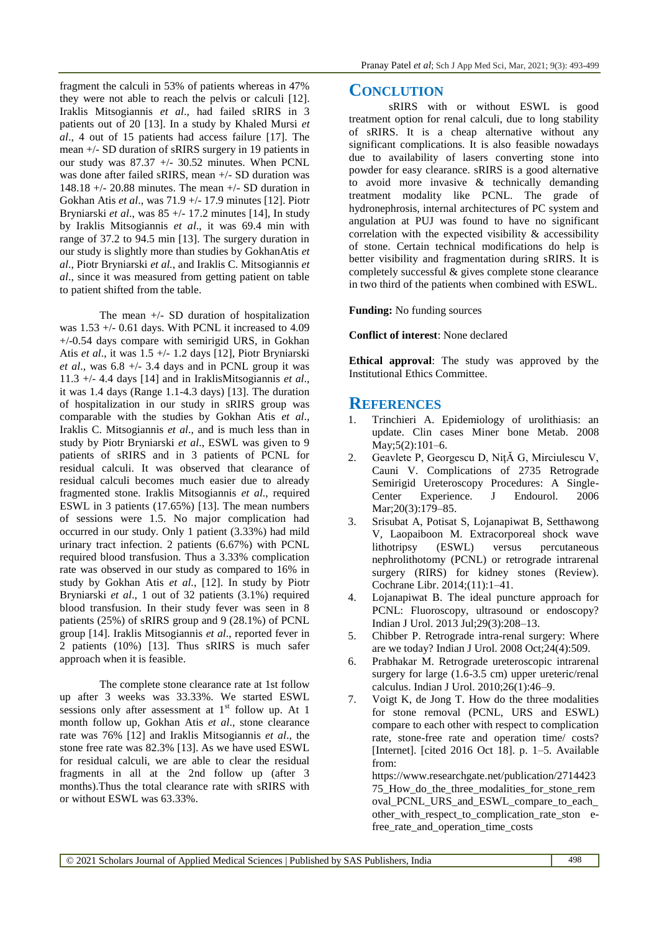fragment the calculi in 53% of patients whereas in 47% they were not able to reach the pelvis or calculi [12]. Iraklis Mitsogiannis *et al*., had failed sRIRS in 3 patients out of 20 [13]. In a study by Khaled Mursi *et al*., 4 out of 15 patients had access failure [17]. The mean +/- SD duration of sRIRS surgery in 19 patients in our study was 87.37 +/- 30.52 minutes. When PCNL was done after failed sRIRS, mean +/- SD duration was 148.18 +/- 20.88 minutes. The mean +/- SD duration in Gokhan Atis *et al*., was 71.9 +/- 17.9 minutes [12]. Piotr Bryniarski *et al*., was 85 +/- 17.2 minutes [14], In study by Iraklis Mitsogiannis *et al*., it was 69.4 min with range of 37.2 to 94.5 min [13]. The surgery duration in our study is slightly more than studies by GokhanAtis *et al*., Piotr Bryniarski *et al.*, and Iraklis C. Mitsogiannis *et al*., since it was measured from getting patient on table to patient shifted from the table.

The mean +/- SD duration of hospitalization was  $1.53 +/- 0.61$  days. With PCNL it increased to  $4.09$ +/-0.54 days compare with semirigid URS, in Gokhan Atis *et al*., it was 1.5 +/- 1.2 days [12], Piotr Bryniarski *et al*., was 6.8 +/- 3.4 days and in PCNL group it was 11.3 +/- 4.4 days [14] and in IraklisMitsogiannis *et al*., it was 1.4 days (Range 1.1-4.3 days) [13]. The duration of hospitalization in our study in sRIRS group was comparable with the studies by Gokhan Atis *et al*., Iraklis C. Mitsogiannis *et al*., and is much less than in study by Piotr Bryniarski *et al*., ESWL was given to 9 patients of sRIRS and in 3 patients of PCNL for residual calculi. It was observed that clearance of residual calculi becomes much easier due to already fragmented stone. Iraklis Mitsogiannis *et al*., required ESWL in 3 patients (17.65%) [13]. The mean numbers of sessions were 1.5. No major complication had occurred in our study. Only 1 patient (3.33%) had mild urinary tract infection. 2 patients (6.67%) with PCNL required blood transfusion. Thus a 3.33% complication rate was observed in our study as compared to 16% in study by Gokhan Atis *et al*., [12]. In study by Piotr Bryniarski *et al*., 1 out of 32 patients (3.1%) required blood transfusion. In their study fever was seen in 8 patients (25%) of sRIRS group and 9 (28.1%) of PCNL group [14]. Iraklis Mitsogiannis *et al*., reported fever in 2 patients (10%) [13]. Thus sRIRS is much safer approach when it is feasible.

The complete stone clearance rate at 1st follow up after 3 weeks was 33.33%. We started ESWL sessions only after assessment at  $1<sup>st</sup>$  follow up. At 1 month follow up, Gokhan Atis *et al*., stone clearance rate was 76% [12] and Iraklis Mitsogiannis *et al*., the stone free rate was 82.3% [13]. As we have used ESWL for residual calculi, we are able to clear the residual fragments in all at the 2nd follow up (after 3 months).Thus the total clearance rate with sRIRS with or without ESWL was 63.33%.

### **CONCLUTION**

sRIRS with or without ESWL is good treatment option for renal calculi, due to long stability of sRIRS. It is a cheap alternative without any significant complications. It is also feasible nowadays due to availability of lasers converting stone into powder for easy clearance. sRIRS is a good alternative to avoid more invasive & technically demanding treatment modality like PCNL. The grade of hydronephrosis, internal architectures of PC system and angulation at PUJ was found to have no significant correlation with the expected visibility & accessibility of stone. Certain technical modifications do help is better visibility and fragmentation during sRIRS. It is completely successful & gives complete stone clearance in two third of the patients when combined with ESWL.

#### **Funding:** No funding sources

**Conflict of interest**: None declared

**Ethical approval**: The study was approved by the Institutional Ethics Committee.

### **REFERENCES**

- 1. Trinchieri A. Epidemiology of urolithiasis: an update. Clin cases Miner bone Metab. 2008 May;5(2):101–6.
- 2. Geavlete P, Georgescu D, NiţĂ G, Mirciulescu V, Cauni V. Complications of 2735 Retrograde Semirigid Ureteroscopy Procedures: A Single-Center Experience. J Endourol. 2006 Mar; 20(3): 179-85.
- 3. Srisubat A, Potisat S, Lojanapiwat B, Setthawong V, Laopaiboon M. Extracorporeal shock wave lithotripsy (ESWL) versus percutaneous nephrolithotomy (PCNL) or retrograde intrarenal surgery (RIRS) for kidney stones (Review). Cochrane Libr. 2014;(11):1–41.
- 4. Lojanapiwat B. The ideal puncture approach for PCNL: Fluoroscopy, ultrasound or endoscopy? Indian J Urol. 2013 Jul;29(3):208–13.
- 5. Chibber P. Retrograde intra-renal surgery: Where are we today? Indian J Urol. 2008 Oct;24(4):509.
- 6. Prabhakar M. Retrograde ureteroscopic intrarenal surgery for large (1.6-3.5 cm) upper ureteric/renal calculus. Indian J Urol. 2010;26(1):46–9.
- 7. Voigt K, de Jong T. How do the three modalities for stone removal (PCNL, URS and ESWL) compare to each other with respect to complication rate, stone-free rate and operation time/ costs? [Internet]. [cited 2016 Oct 18]. p. 1–5. Available from:

[https://www.researchgate.net/publication/2714423](https://www.researchgate.net/publication/271442375_How_do_the_three_modalities_for_stone_removal_PCNL_URS_and_ESWL_compare_to_each_other_with_respect_to_complication_rate_ston) [75\\_How\\_do\\_the\\_three\\_modalities\\_for\\_stone\\_rem](https://www.researchgate.net/publication/271442375_How_do_the_three_modalities_for_stone_removal_PCNL_URS_and_ESWL_compare_to_each_other_with_respect_to_complication_rate_ston) [oval\\_PCNL\\_URS\\_and\\_ESWL\\_compare\\_to\\_each\\_](https://www.researchgate.net/publication/271442375_How_do_the_three_modalities_for_stone_removal_PCNL_URS_and_ESWL_compare_to_each_other_with_respect_to_complication_rate_ston) other with respect to complication rate ston efree\_rate\_and\_operation\_time\_costs